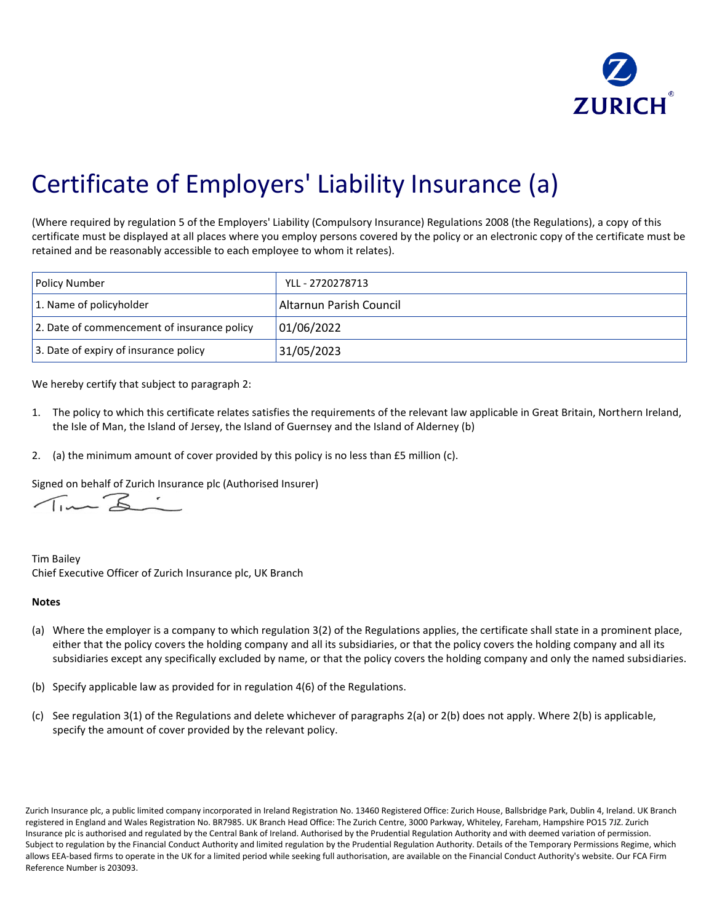

## Certificate of Employers' Liability Insurance (a)

(Where required by regulation 5 of the Employers' Liability (Compulsory Insurance) Regulations 2008 (the Regulations), a copy of this certificate must be displayed at all places where you employ persons covered by the policy or an electronic copy of the certificate must be retained and be reasonably accessible to each employee to whom it relates).

| <b>Policy Number</b>                        | YLL - 2720278713        |
|---------------------------------------------|-------------------------|
| 1. Name of policyholder                     | Altarnun Parish Council |
| 2. Date of commencement of insurance policy | 01/06/2022              |
| 3. Date of expiry of insurance policy       | 31/05/2023              |

We hereby certify that subject to paragraph 2:

- 1. The policy to which this certificate relates satisfies the requirements of the relevant law applicable in Great Britain, Northern Ireland, the Isle of Man, the Island of Jersey, the Island of Guernsey and the Island of Alderney (b)
- 2. (a) the minimum amount of cover provided by this policy is no less than £5 million (c).

Signed on behalf of Zurich Insurance plc (Authorised Insurer)

Tim Bailey Chief Executive Officer of Zurich Insurance plc, UK Branch

## **Notes**

- (a) Where the employer is a company to which regulation 3(2) of the Regulations applies, the certificate shall state in a prominent place, either that the policy covers the holding company and all its subsidiaries, or that the policy covers the holding company and all its subsidiaries except any specifically excluded by name, or that the policy covers the holding company and only the named subsidiaries.
- (b) Specify applicable law as provided for in regulation 4(6) of the Regulations.
- (c) See regulation 3(1) of the Regulations and delete whichever of paragraphs 2(a) or 2(b) does not apply. Where 2(b) is applicable, specify the amount of cover provided by the relevant policy.

Zurich Insurance plc, a public limited company incorporated in Ireland Registration No. 13460 Registered Office: Zurich House, Ballsbridge Park, Dublin 4, Ireland. UK Branch registered in England and Wales Registration No. BR7985. UK Branch Head Office: The Zurich Centre, 3000 Parkway, Whiteley, Fareham, Hampshire PO15 7JZ. Zurich Insurance plc is authorised and regulated by the Central Bank of Ireland. Authorised by the Prudential Regulation Authority and with deemed variation of permission. Subject to regulation by the Financial Conduct Authority and limited regulation by the Prudential Regulation Authority. Details of the Temporary Permissions Regime, which allows EEA-based firms to operate in the UK for a limited period while seeking full authorisation, are available on the Financial Conduct Authority's website. Our FCA Firm Reference Number is 203093.